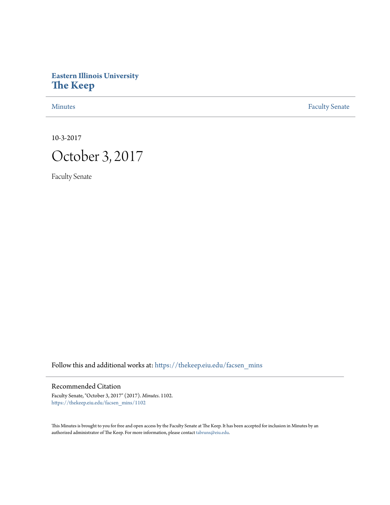# **Eastern Illinois University [The Keep](https://thekeep.eiu.edu?utm_source=thekeep.eiu.edu%2Ffacsen_mins%2F1102&utm_medium=PDF&utm_campaign=PDFCoverPages)**

[Minutes](https://thekeep.eiu.edu/facsen_mins?utm_source=thekeep.eiu.edu%2Ffacsen_mins%2F1102&utm_medium=PDF&utm_campaign=PDFCoverPages) **[Faculty Senate](https://thekeep.eiu.edu/fac_senate?utm_source=thekeep.eiu.edu%2Ffacsen_mins%2F1102&utm_medium=PDF&utm_campaign=PDFCoverPages)** 

10-3-2017



Faculty Senate

Follow this and additional works at: [https://thekeep.eiu.edu/facsen\\_mins](https://thekeep.eiu.edu/facsen_mins?utm_source=thekeep.eiu.edu%2Ffacsen_mins%2F1102&utm_medium=PDF&utm_campaign=PDFCoverPages)

# Recommended Citation

Faculty Senate, "October 3, 2017" (2017). *Minutes*. 1102. [https://thekeep.eiu.edu/facsen\\_mins/1102](https://thekeep.eiu.edu/facsen_mins/1102?utm_source=thekeep.eiu.edu%2Ffacsen_mins%2F1102&utm_medium=PDF&utm_campaign=PDFCoverPages)

This Minutes is brought to you for free and open access by the Faculty Senate at The Keep. It has been accepted for inclusion in Minutes by an authorized administrator of The Keep. For more information, please contact [tabruns@eiu.edu](mailto:tabruns@eiu.edu).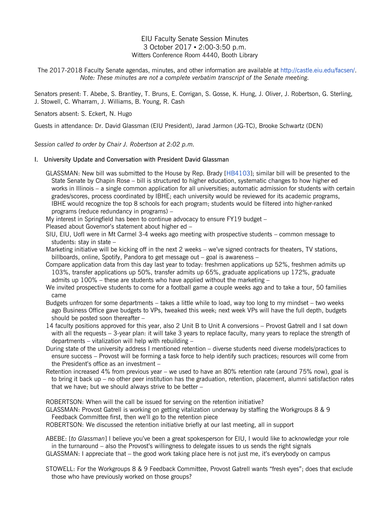# EIU Faculty Senate Session Minutes 3 October 2017 ▪ 2:00-3:50 p.m. Witters Conference Room 4440, Booth Library

The 2017-2018 Faculty Senate agendas, minutes, and other information are available at [http://castle.eiu.edu/facsen/.](http://castle.eiu.edu/facsen/) *Note: These minutes are not a complete verbatim transcript of the Senate meeting.*

Senators present: T. Abebe, S. Brantley, T. Bruns, E. Corrigan, S. Gosse, K. Hung, J. Oliver, J. Robertson, G. Sterling, J. Stowell, C. Wharram, J. Williams, B. Young, R. Cash

Senators absent: S. Eckert, N. Hugo

Guests in attendance: Dr. David Glassman (EIU President), Jarad Jarmon (JG-TC), Brooke Schwartz (DEN)

*Session called to order by Chair J. Robertson at 2:02 p.m.*

## I. University Update and Conversation with President David Glassman

GLASSMAN: New bill was submitted to the House by Rep. Brady [\[HB4103\]](http://www.ilga.gov/legislation/BillStatus.asp?DocNum=4103&GAID=14&DocTypeID=HB&LegId=107958&SessionID=91&GA=100); similar bill will be presented to the State Senate by Chapin Rose – bill is structured to higher education, systematic changes to how higher ed works in Illinois – a single common application for all universities; automatic admission for students with certain grades/scores, process coordinated by IBHE; each university would be reviewed for its academic programs, IBHE would recognize the top 8 schools for each program; students would be filtered into higher-ranked programs (reduce redundancy in programs) –

My interest in Springfield has been to continue advocacy to ensure FY19 budget –

Pleased about Governor's statement about higher ed –

- SIU, EIU, UofI were in Mt Carmel 3-4 weeks ago meeting with prospective students common message to students: stay in state –
- Marketing initiative will be kicking off in the next 2 weeks we've signed contracts for theaters, TV stations, billboards, online, Spotify, Pandora to get message out – goal is awareness –
- Compare application data from this day last year to today: freshmen applications up 52%, freshmen admits up 103%, transfer applications up 50%, transfer admits up 65%, graduate applications up 172%, graduate admits up 100% – these are students who have applied without the marketing –
- We invited prospective students to come for a football game a couple weeks ago and to take a tour, 50 families came
- Budgets unfrozen for some departments takes a little while to load, way too long to my mindset two weeks ago Business Office gave budgets to VPs, tweaked this week; next week VPs will have the full depth, budgets should be posted soon thereafter –
- 14 faculty positions approved for this year, also 2 Unit B to Unit A conversions Provost Gatrell and I sat down with all the requests – 3-year plan: it will take 3 years to replace faculty, many years to replace the strength of departments – vitalization will help with rebuilding –
- During state of the university address I mentioned retention diverse students need diverse models/practices to ensure success – Provost will be forming a task force to help identify such practices; resources will come from the President's office as an investment –
- Retention increased 4% from previous year we used to have an 80% retention rate (around 75% now), goal is to bring it back up – no other peer institution has the graduation, retention, placement, alumni satisfaction rates that we have; but we should always strive to be better –

ROBERTSON: When will the call be issued for serving on the retention initiative?

GLASSMAN: Provost Gatrell is working on getting vitalization underway by staffing the Workgroups 8 & 9 Feedback Committee first, then we'll go to the retention piece

ROBERTSON: We discussed the retention initiative briefly at our last meeting, all in support

ABEBE: [*to Glassman*] I believe you've been a great spokesperson for EIU, I would like to acknowledge your role in the turnaround – also the Provost's willingness to delegate issues to us sends the right signals GLASSMAN: I appreciate that – the good work taking place here is not just me, it's everybody on campus

STOWELL: For the Workgroups 8 & 9 Feedback Committee, Provost Gatrell wants "fresh eyes"; does that exclude those who have previously worked on those groups?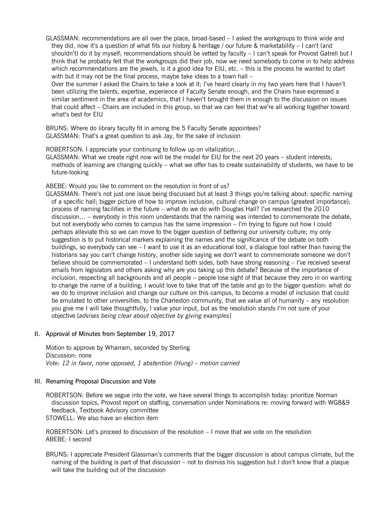GLASSMAN: recommendations are all over the place, broad-based – I asked the workgroups to think wide and they did, now it's a question of what fits our history & heritage / our future & marketability – I can't (and shouldn't) do it by myself; recommendations should be vetted by faculty – I can't speak for Provost Gatrell but I think that he probably felt that the workgroups did their job, now we need somebody to come in to help address which recommendations are the jewels, is it a good idea for EIU, etc. – this is the process he wanted to start with but it may not be the final process, maybe take ideas to a town hall -

Over the summer I asked the Chairs to take a look at it; I've heard clearly in my two years here that I haven't been utilizing the talents, expertise, experience of Faculty Senate enough, and the Chairs have expressed a similar sentiment in the area of academics, that I haven't brought them in enough to the discussion on issues that could affect – Chairs are included in this group, so that we can feel that we're all working together toward what's best for EIU

BRUNS: Where do library faculty fit in among the 5 Faculty Senate appointees? GLASSMAN: That's a great question to ask Jay, for the sake of inclusion

ROBERTSON: I appreciate your continuing to follow up on vitalization…

GLASSMAN: What we create right now will be the model for EIU for the next 20 years – student interests, methods of learning are changing quickly – what we offer has to create sustainability of students, we have to be future-looking

ABEBE: Would you like to comment on the resolution in front of us?

GLASSMAN: There's not just one issue being discussed but at least 3 things you're talking about: specific naming of a specific hall; bigger picture of how to improve inclusion, cultural change on campus (greatest importance); process of naming facilities in the future – what do we do with Douglas Hall? I've researched the 2010 discussion… – everybody in this room understands that the naming was intended to commemorate the debate, but not everybody who comes to campus has the same impression – I'm trying to figure out how I could perhaps alleviate this so we can move to the bigger question of bettering our university culture; my only suggestion is to put historical markers explaining the names and the significance of the debate on both buildings, so everybody can see – I want to use it as an educational tool, a dialogue tool rather than having the historians say you can't change history, another side saying we don't want to commemorate someone we don't believe should be commemorated – I understand both sides, both have strong reasoning – I've received several emails from legislators and others asking why are you taking up this debate? Because of the importance of inclusion, respecting all backgrounds and all people – people lose sight of that because they zero in on wanting to change the name of a building; I would love to take that off the table and go to the bigger question: what do we do to improve inclusion and change our culture on this campus, to become a model of inclusion that could be emulated to other universities, to the Charleston community, that we value all of humanity – any resolution you give me I will take thoughtfully, I value your input, but as the resolution stands I'm not sure of your objective [*advises being clear about objective by giving examples*]

## II. Approval of Minutes from September 19, 2017

Motion to approve by Wharram, seconded by Sterling Discussion: none *Vote: 12 in favor, none opposed, 1 abstention (Hung) – motion carried*

### III. Renaming Proposal Discussion and Vote

ROBERTSON: Before we segue into the vote, we have several things to accomplish today: prioritize Norman discussion topics, Provost report on staffing, conversation under Nominations re: moving forward with WG8&9 feedback, Textbook Advisory committee STOWELL: We also have an election item

ROBERTSON: Let's proceed to discussion of the resolution – I move that we vote on the resolution ABEBE: I second

BRUNS: I appreciate President Glassman's comments that the bigger discussion is about campus climate, but the naming of the building is part of that discussion – not to dismiss his suggestion but I don't know that a plaque will take the building out of the discussion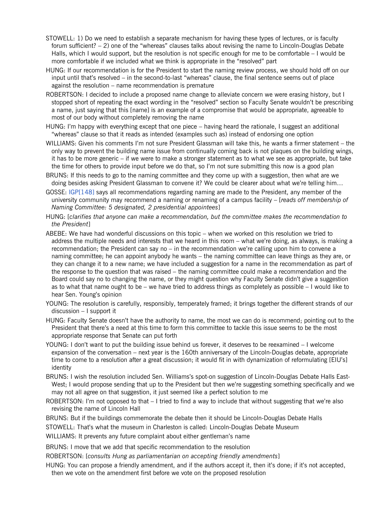- STOWELL: 1) Do we need to establish a separate mechanism for having these types of lectures, or is faculty forum sufficient? – 2) one of the "whereas" clauses talks about revising the name to Lincoln-Douglas Debate Halls, which I would support, but the resolution is not specific enough for me to be comfortable – I would be more comfortable if we included what we think is appropriate in the "resolved" part
- HUNG: If our recommendation is for the President to start the naming review process, we should hold off on our input until that's resolved – in the second-to-last "whereas" clause, the final sentence seems out of place against the resolution – name recommendation is premature
- ROBERTSON: I decided to include a proposed name change to alleviate concern we were erasing history, but I stopped short of repeating the exact wording in the "resolved" section so Faculty Senate wouldn't be prescribing a name, just saying that this [name] is an example of a compromise that would be appropriate, agreeable to most of our body without completely removing the name
- HUNG: I'm happy with everything except that one piece having heard the rationale, I suggest an additional "whereas" clause so that it reads as intended (examples such as) instead of endorsing one option
- WILLIAMS: Given his comments I'm not sure President Glassman will take this, he wants a firmer statement the only way to prevent the building name issue from continually coming back is not plaques on the building wings, it has to be more generic – if we were to make a stronger statement as to what we see as appropriate, but take the time for others to provide input before we do that, so I'm not sure submitting this now is a good plan
- BRUNS: If this needs to go to the naming committee and they come up with a suggestion, then what are we doing besides asking President Glassman to convene it? We could be clearer about what we're telling him…
- GOSSE: [IGP\[148\]](http://castle.eiu.edu/auditing/148.php) says all recommendations regarding naming are made to the President, any member of the university community may recommend a naming or renaming of a campus facility – [*reads off membership of Naming Committee: 5 designated, 2 presidential appointees*]
- HUNG: [*clarifies that anyone can make a recommendation, but the committee makes the recommendation to the President*]
- ABEBE: We have had wonderful discussions on this topic when we worked on this resolution we tried to address the multiple needs and interests that we heard in this room – what we're doing, as always, is making a recommendation; the President can say no – in the recommendation we're calling upon him to convene a naming committee; he can appoint anybody he wants – the naming committee can leave things as they are, or they can change it to a new name; we have included a suggestion for a name in the recommendation as part of the response to the question that was raised – the naming committee could make a recommendation and the Board could say no to changing the name, or they might question why Faculty Senate didn't give a suggestion as to what that name ought to be – we have tried to address things as completely as possible – I would like to hear Sen. Young's opinion
- YOUNG: The resolution is carefully, responsibly, temperately framed; it brings together the different strands of our discussion – I support it
- HUNG: Faculty Senate doesn't have the authority to name, the most we can do is recommend; pointing out to the President that there's a need at this time to form this committee to tackle this issue seems to be the most appropriate response that Senate can put forth
- YOUNG: I don't want to put the building issue behind us forever, it deserves to be reexamined I welcome expansion of the conversation – next year is the 160th anniversary of the Lincoln-Douglas debate, appropriate time to come to a resolution after a great discussion; it would fit in with dynamization of reformulating [EIU's] identity
- BRUNS: I wish the resolution included Sen. Williams's spot-on suggestion of Lincoln-Douglas Debate Halls East-West; I would propose sending that up to the President but then we're suggesting something specifically and we may not all agree on that suggestion, it just seemed like a perfect solution to me
- ROBERTSON: I'm not opposed to that I tried to find a way to include that without suggesting that we're also revising the name of Lincoln Hall
- BRUNS: But if the buildings commemorate the debate then it should be Lincoln-Douglas Debate Halls
- STOWELL: That's what the museum in Charleston is called: Lincoln-Douglas Debate Museum
- WILLIAMS: It prevents any future complaint about either gentleman's name
- BRUNS: I move that we add that specific recommendation to the resolution
- ROBERTSON: [*consults Hung as parliamentarian on accepting friendly amendments*]
- HUNG: You can propose a friendly amendment, and if the authors accept it, then it's done; if it's not accepted, then we vote on the amendment first before we vote on the proposed resolution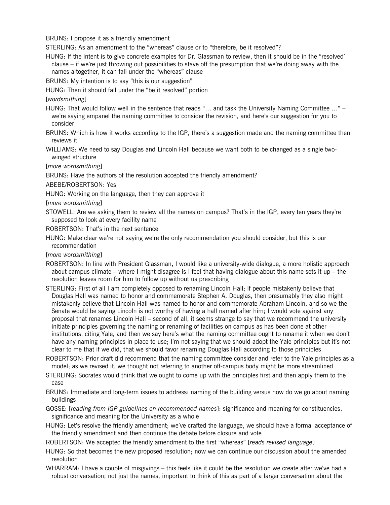BRUNS: I propose it as a friendly amendment

STERLING: As an amendment to the "whereas" clause or to "therefore, be it resolved"?

HUNG: If the intent is to give concrete examples for Dr. Glassman to review, then it should be in the "resolved' clause – if we're just throwing out possibilities to stave off the presumption that we're doing away with the names altogether, it can fall under the "whereas" clause

BRUNS: My intention is to say "this is our suggestion"

HUNG: Then it should fall under the "be it resolved" portion

[*wordsmithing*]

HUNG: That would follow well in the sentence that reads "… and task the University Naming Committee …" – we're saying empanel the naming committee to consider the revision, and here's our suggestion for you to consider

BRUNS: Which is how it works according to the IGP, there's a suggestion made and the naming committee then reviews it

WILLIAMS: We need to say Douglas and Lincoln Hall because we want both to be changed as a single twowinged structure

[*more wordsmithing*]

BRUNS: Have the authors of the resolution accepted the friendly amendment?

ABEBE/ROBERTSON: Yes

HUNG: Working on the language, then they can approve it

[*more wordsmithing*]

STOWELL: Are we asking them to review all the names on campus? That's in the IGP, every ten years they're supposed to look at every facility name

ROBERTSON: That's in the next sentence

HUNG: Make clear we're not saying we're the only recommendation you should consider, but this is our recommendation

[*more wordsmithing*]

- ROBERTSON: In line with President Glassman, I would like a university-wide dialogue, a more holistic approach about campus climate – where I might disagree is I feel that having dialogue about this name sets it up – the resolution leaves room for him to follow up without us prescribing
- STERLING: First of all I am completely opposed to renaming Lincoln Hall; if people mistakenly believe that Douglas Hall was named to honor and commemorate Stephen A. Douglas, then presumably they also might mistakenly believe that Lincoln Hall was named to honor and commemorate Abraham Lincoln, and so we the Senate would be saying Lincoln is not worthy of having a hall named after him; I would vote against any proposal that renames Lincoln Hall – second of all, it seems strange to say that we recommend the university initiate principles governing the naming or renaming of facilities on campus as has been done at other institutions, citing Yale, and then we say here's what the naming committee ought to rename it when we don't have any naming principles in place to use; I'm not saying that we should adopt the Yale principles but it's not clear to me that if we did, that we should favor renaming Douglas Hall according to those principles

ROBERTSON: Prior draft did recommend that the naming committee consider and refer to the Yale principles as a model; as we revised it, we thought not referring to another off-campus body might be more streamlined

STERLING: Socrates would think that we ought to come up with the principles first and then apply them to the case

BRUNS: Immediate and long-term issues to address: naming of the building versus how do we go about naming buildings

GOSSE: [*reading from IGP guidelines on recommended names*]: significance and meaning for constituencies, significance and meaning for the University as a whole

HUNG: Let's resolve the friendly amendment; we've crafted the language, we should have a formal acceptance of the friendly amendment and then continue the debate before closure and vote

ROBERTSON: We accepted the friendly amendment to the first "whereas" [*reads revised language*]

HUNG: So that becomes the new proposed resolution; now we can continue our discussion about the amended resolution

WHARRAM: I have a couple of misgivings – this feels like it could be the resolution we create after we've had a robust conversation; not just the names, important to think of this as part of a larger conversation about the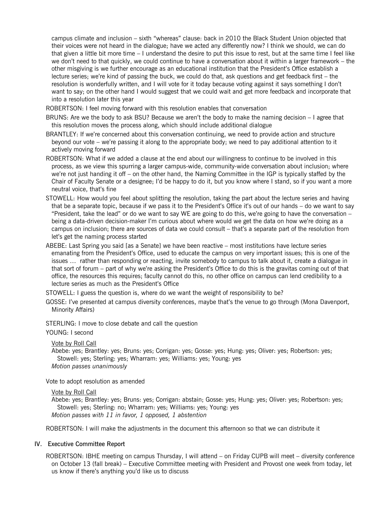campus climate and inclusion – sixth "whereas" clause: back in 2010 the Black Student Union objected that their voices were not heard in the dialogue; have we acted any differently now? I think we should, we can do that given a little bit more time – I understand the desire to put this issue to rest, but at the same time I feel like we don't need to that quickly, we could continue to have a conversation about it within a larger framework – the other misgiving is we further encourage as an educational institution that the President's Office establish a lecture series; we're kind of passing the buck, we could do that, ask questions and get feedback first – the resolution is wonderfully written, and I will vote for it today because voting against it says something I don't want to say; on the other hand I would suggest that we could wait and get more feedback and incorporate that into a resolution later this year

ROBERTSON: I feel moving forward with this resolution enables that conversation

- BRUNS: Are we the body to ask BSU? Because we aren't the body to make the naming decision I agree that this resolution moves the process along, which should include additional dialogue
- BRANTLEY: If we're concerned about this conversation continuing, we need to provide action and structure beyond our vote – we're passing it along to the appropriate body; we need to pay additional attention to it actively moving forward
- ROBERTSON: What if we added a clause at the end about our willingness to continue to be involved in this process, as we view this spurring a larger campus-wide, community-wide conversation about inclusion; where we're not just handing it off – on the other hand, the Naming Committee in the IGP is typically staffed by the Chair of Faculty Senate or a designee; I'd be happy to do it, but you know where I stand, so if you want a more neutral voice, that's fine
- STOWELL: How would you feel about splitting the resolution, taking the part about the lecture series and having that be a separate topic, because if we pass it to the President's Office it's out of our hands – do we want to say "President, take the lead" or do we want to say WE are going to do this, we're going to have the conversation – being a data-driven decision-maker I'm curious about where would we get the data on how we're doing as a campus on inclusion; there are sources of data we could consult – that's a separate part of the resolution from let's get the naming process started
- ABEBE: Last Spring you said [as a Senate] we have been reactive most institutions have lecture series emanating from the President's Office, used to educate the campus on very important issues; this is one of the issues … rather than responding or reacting, invite somebody to campus to talk about it, create a dialogue in that sort of forum – part of why we're asking the President's Office to do this is the gravitas coming out of that office, the resources this requires; faculty cannot do this, no other office on campus can lend credibility to a lecture series as much as the President's Office

STOWELL: I guess the question is, where do we want the weight of responsibility to be?

GOSSE: I've presented at campus diversity conferences, maybe that's the venue to go through (Mona Davenport, Minority Affairs)

STERLING: I move to close debate and call the question

YOUNG: I second

Vote by Roll Call

Abebe: yes; Brantley: yes; Bruns: yes; Corrigan: yes; Gosse: yes; Hung: yes; Oliver: yes; Robertson: yes; Stowell: yes; Sterling: yes; Wharram: yes; Williams: yes; Young: yes *Motion passes unanimously*

Vote to adopt resolution as amended

### Vote by Roll Call

Abebe: yes; Brantley: yes; Bruns: yes; Corrigan: abstain; Gosse: yes; Hung: yes; Oliver: yes; Robertson: yes; Stowell: yes; Sterling: no; Wharram: yes; Williams: yes; Young: yes *Motion passes with 11 in favor, 1 opposed, 1 abstention*

ROBERTSON: I will make the adjustments in the document this afternoon so that we can distribute it

## IV. Executive Committee Report

ROBERTSON: IBHE meeting on campus Thursday, I will attend – on Friday CUPB will meet – diversity conference on October 13 (fall break) – Executive Committee meeting with President and Provost one week from today, let us know if there's anything you'd like us to discuss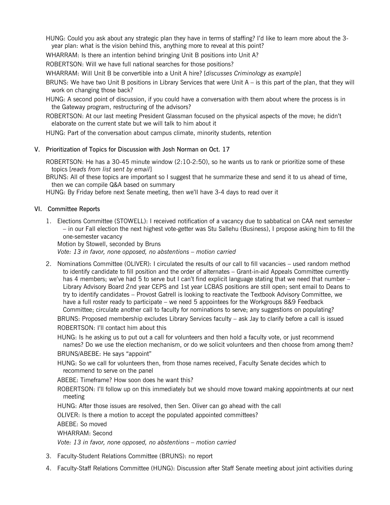HUNG: Could you ask about any strategic plan they have in terms of staffing? I'd like to learn more about the 3 year plan: what is the vision behind this, anything more to reveal at this point?

WHARRAM: Is there an intention behind bringing Unit B positions into Unit A?

ROBERTSON: Will we have full national searches for those positions?

WHARRAM: Will Unit B be convertible into a Unit A hire? [*discusses Criminology as example*]

- BRUNS: We have two Unit B positions in Library Services that were Unit A is this part of the plan, that they will work on changing those back?
- HUNG: A second point of discussion, if you could have a conversation with them about where the process is in the Gateway program, restructuring of the advisors?

ROBERTSON: At our last meeting President Glassman focused on the physical aspects of the move; he didn't elaborate on the current state but we will talk to him about it

HUNG: Part of the conversation about campus climate, minority students, retention

## V. Prioritization of Topics for Discussion with Josh Norman on Oct. 17

ROBERTSON: He has a 30-45 minute window (2:10-2:50), so he wants us to rank or prioritize some of these topics [*reads from list sent by email*]

BRUNS: All of these topics are important so I suggest that he summarize these and send it to us ahead of time, then we can compile Q&A based on summary

HUNG: By Friday before next Senate meeting, then we'll have 3-4 days to read over it

## VI. Committee Reports

1. Elections Committee (STOWELL): I received notification of a vacancy due to sabbatical on CAA next semester – in our Fall election the next highest vote-getter was Stu Sallehu (Business), I propose asking him to fill the one-semester vacancy

Motion by Stowell, seconded by Bruns

*Vote: 13 in favor, none opposed, no abstentions – motion carried*

2. Nominations Committee (OLIVER): I circulated the results of our call to fill vacancies – used random method to identify candidate to fill position and the order of alternates – Grant-in-aid Appeals Committee currently has 4 members; we've had 5 to serve but I can't find explicit language stating that we need that number – Library Advisory Board 2nd year CEPS and 1st year LCBAS positions are still open; sent email to Deans to try to identify candidates – Provost Gatrell is looking to reactivate the Textbook Advisory Committee, we have a full roster ready to participate – we need 5 appointees for the Workgroups 8&9 Feedback Committee; circulate another call to faculty for nominations to serve; any suggestions on populating?

BRUNS: Proposed membership excludes Library Services faculty – ask Jay to clarify before a call is issued ROBERTSON: I'll contact him about this

HUNG: Is he asking us to put out a call for volunteers and then hold a faculty vote, or just recommend names? Do we use the election mechanism, or do we solicit volunteers and then choose from among them?

BRUNS/ABEBE: He says "appoint"

HUNG: So we call for volunteers then, from those names received, Faculty Senate decides which to recommend to serve on the panel

ABEBE: Timeframe? How soon does he want this?

ROBERTSON: I'll follow up on this immediately but we should move toward making appointments at our next meeting

HUNG: After those issues are resolved, then Sen. Oliver can go ahead with the call

OLIVER: Is there a motion to accept the populated appointed committees?

ABEBE: So moved

WHARRAM: Second

*Vote: 13 in favor, none opposed, no abstentions – motion carried*

- 3. Faculty-Student Relations Committee (BRUNS): no report
- 4. Faculty-Staff Relations Committee (HUNG): Discussion after Staff Senate meeting about joint activities during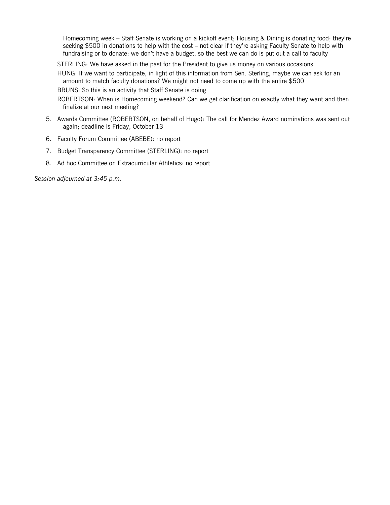Homecoming week – Staff Senate is working on a kickoff event; Housing & Dining is donating food; they're seeking \$500 in donations to help with the cost – not clear if they're asking Faculty Senate to help with fundraising or to donate; we don't have a budget, so the best we can do is put out a call to faculty

STERLING: We have asked in the past for the President to give us money on various occasions

HUNG: If we want to participate, in light of this information from Sen. Sterling, maybe we can ask for an amount to match faculty donations? We might not need to come up with the entire \$500

BRUNS: So this is an activity that Staff Senate is doing

ROBERTSON: When is Homecoming weekend? Can we get clarification on exactly what they want and then finalize at our next meeting?

- 5. Awards Committee (ROBERTSON, on behalf of Hugo): The call for Mendez Award nominations was sent out again; deadline is Friday, October 13
- 6. Faculty Forum Committee (ABEBE): no report
- 7. Budget Transparency Committee (STERLING): no report
- 8. Ad hoc Committee on Extracurricular Athletics: no report

*Session adjourned at 3:45 p.m.*